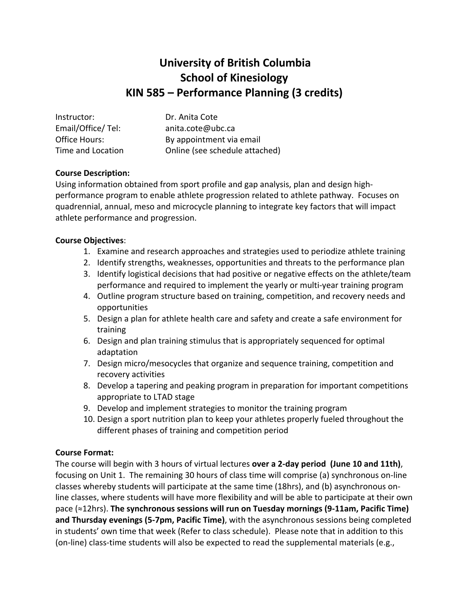# **University of British Columbia School of Kinesiology KIN 585 – Performance Planning (3 credits)**

| Instructor:       | Dr. Anita Cote                 |
|-------------------|--------------------------------|
| Email/Office/Tel: | anita.cote@ubc.ca              |
| Office Hours:     | By appointment via email       |
| Time and Location | Online (see schedule attached) |

## **Course Description:**

Using information obtained from sport profile and gap analysis, plan and design highperformance program to enable athlete progression related to athlete pathway. Focuses on quadrennial, annual, meso and microcycle planning to integrate key factors that will impact athlete performance and progression.

#### **Course Objectives**:

- 1. Examine and research approaches and strategies used to periodize athlete training
- 2. Identify strengths, weaknesses, opportunities and threats to the performance plan
- 3. Identify logistical decisions that had positive or negative effects on the athlete/team performance and required to implement the yearly or multi-year training program
- 4. Outline program structure based on training, competition, and recovery needs and opportunities
- 5. Design a plan for athlete health care and safety and create a safe environment for training
- 6. Design and plan training stimulus that is appropriately sequenced for optimal adaptation
- 7. Design micro/mesocycles that organize and sequence training, competition and recovery activities
- 8. Develop a tapering and peaking program in preparation for important competitions appropriate to LTAD stage
- 9. Develop and implement strategies to monitor the training program
- 10. Design a sport nutrition plan to keep your athletes properly fueled throughout the different phases of training and competition period

#### **Course Format:**

The course will begin with 3 hours of virtual lectures **over a 2-day period (June 10 and 11th)**, focusing on Unit 1. The remaining 30 hours of class time will comprise (a) synchronous on-line classes whereby students will participate at the same time (18hrs), and (b) asynchronous online classes, where students will have more flexibility and will be able to participate at their own pace (≈12hrs). **The synchronous sessions will run on Tuesday mornings (9-11am, Pacific Time) and Thursday evenings (5-7pm, Pacific Time)**, with the asynchronous sessions being completed in students' own time that week (Refer to class schedule). Please note that in addition to this (on-line) class-time students will also be expected to read the supplemental materials (e.g.,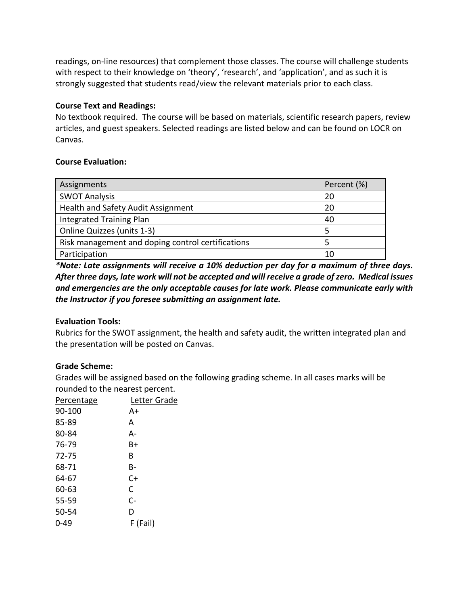readings, on-line resources) that complement those classes. The course will challenge students with respect to their knowledge on 'theory', 'research', and 'application', and as such it is strongly suggested that students read/view the relevant materials prior to each class.

### **Course Text and Readings:**

No textbook required. The course will be based on materials, scientific research papers, review articles, and guest speakers. Selected readings are listed below and can be found on LOCR on Canvas.

# **Course Evaluation:**

| Assignments                                       | Percent (%) |
|---------------------------------------------------|-------------|
| <b>SWOT Analysis</b>                              | 20          |
| Health and Safety Audit Assignment                | 20          |
| <b>Integrated Training Plan</b>                   | 40          |
| Online Quizzes (units 1-3)                        | 5           |
| Risk management and doping control certifications | 5           |
| Participation                                     | 10          |

*\*Note: Late assignments will receive a 10% deduction per day for a maximum of three days. After three days, late work will not be accepted and will receive a grade of zero. Medical issues and emergencies are the only acceptable causes for late work. Please communicate early with the Instructor if you foresee submitting an assignment late.*

# **Evaluation Tools:**

Rubrics for the SWOT assignment, the health and safety audit, the written integrated plan and the presentation will be posted on Canvas.

# **Grade Scheme:**

Grades will be assigned based on the following grading scheme. In all cases marks will be rounded to the nearest percent.

| Percentage | Letter Grade |
|------------|--------------|
| $90 - 100$ | A+           |
| 85-89      | А            |
| 80-84      | А-           |
| 76-79      | B+           |
| 72-75      | B            |
| 68-71      | B-           |
| 64-67      | C+           |
| 60-63      | C            |
| 55-59      | $C-$         |
| 50-54      | D            |
| $0 - 49$   | F (Fail)     |
|            |              |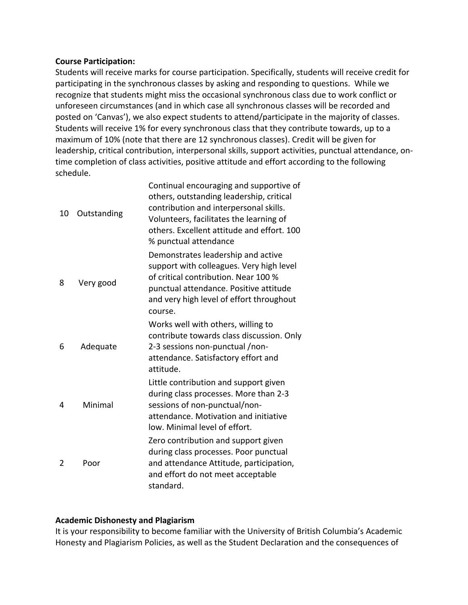## **Course Participation:**

Students will receive marks for course participation. Specifically, students will receive credit for participating in the synchronous classes by asking and responding to questions. While we recognize that students might miss the occasional synchronous class due to work conflict or unforeseen circumstances (and in which case all synchronous classes will be recorded and posted on 'Canvas'), we also expect students to attend/participate in the majority of classes. Students will receive 1% for every synchronous class that they contribute towards, up to a maximum of 10% (note that there are 12 synchronous classes). Credit will be given for leadership, critical contribution, interpersonal skills, support activities, punctual attendance, ontime completion of class activities, positive attitude and effort according to the following schedule.

| 10 | Outstanding | Continual encouraging and supportive of<br>others, outstanding leadership, critical<br>contribution and interpersonal skills.<br>Volunteers, facilitates the learning of<br>others. Excellent attitude and effort. 100<br>% punctual attendance |
|----|-------------|-------------------------------------------------------------------------------------------------------------------------------------------------------------------------------------------------------------------------------------------------|
| 8  | Very good   | Demonstrates leadership and active<br>support with colleagues. Very high level<br>of critical contribution. Near 100 %<br>punctual attendance. Positive attitude<br>and very high level of effort throughout<br>course.                         |
| 6  | Adequate    | Works well with others, willing to<br>contribute towards class discussion. Only<br>2-3 sessions non-punctual /non-<br>attendance. Satisfactory effort and<br>attitude.                                                                          |
| 4  | Minimal     | Little contribution and support given<br>during class processes. More than 2-3<br>sessions of non-punctual/non-<br>attendance. Motivation and initiative<br>low. Minimal level of effort.                                                       |
| 2  | Poor        | Zero contribution and support given<br>during class processes. Poor punctual<br>and attendance Attitude, participation,<br>and effort do not meet acceptable<br>standard.                                                                       |

# **Academic Dishonesty and Plagiarism**

It is your responsibility to become familiar with the University of British Columbia's Academic Honesty and Plagiarism Policies, as well as the Student Declaration and the consequences of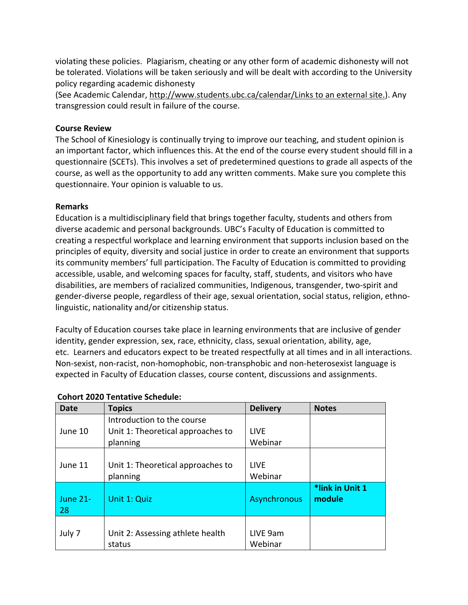violating these policies. Plagiarism, cheating or any other form of academic dishonesty will not be tolerated. Violations will be taken seriously and will be dealt with according to the University policy regarding academic dishonesty

(See Academic Calendar, http://www.students.ubc.ca/calendar/Links to an external site.). Any transgression could result in failure of the course.

### **Course Review**

The School of Kinesiology is continually trying to improve our teaching, and student opinion is an important factor, which influences this. At the end of the course every student should fill in a questionnaire (SCETs). This involves a set of predetermined questions to grade all aspects of the course, as well as the opportunity to add any written comments. Make sure you complete this questionnaire. Your opinion is valuable to us.

## **Remarks**

Education is a multidisciplinary field that brings together faculty, students and others from diverse academic and personal backgrounds. UBC's Faculty of Education is committed to creating a respectful workplace and learning environment that supports inclusion based on the principles of equity, diversity and social justice in order to create an environment that supports its community members' full participation. The Faculty of Education is committed to providing accessible, usable, and welcoming spaces for faculty, staff, students, and visitors who have disabilities, are members of racialized communities, Indigenous, transgender, two-spirit and gender-diverse people, regardless of their age, sexual orientation, social status, religion, ethnolinguistic, nationality and/or citizenship status.

Faculty of Education courses take place in learning environments that are inclusive of gender identity, gender expression, sex, race, ethnicity, class, sexual orientation, ability, age, etc. Learners and educators expect to be treated respectfully at all times and in all interactions. Non-sexist, non-racist, non-homophobic, non-transphobic and non-heterosexist language is expected in Faculty of Education classes, course content, discussions and assignments.

| Date                  | <b>Topics</b>                              | <b>Delivery</b>     | <b>Notes</b>              |
|-----------------------|--------------------------------------------|---------------------|---------------------------|
|                       | Introduction to the course                 |                     |                           |
| June 10               | Unit 1: Theoretical approaches to          | <b>LIVE</b>         |                           |
|                       | planning                                   | Webinar             |                           |
|                       |                                            |                     |                           |
| June 11               | Unit 1: Theoretical approaches to          | <b>LIVE</b>         |                           |
|                       | planning                                   | Webinar             |                           |
| <b>June 21-</b><br>28 | Unit 1: Quiz                               | Asynchronous        | *link in Unit 1<br>module |
| July 7                | Unit 2: Assessing athlete health<br>status | LIVE 9am<br>Webinar |                           |

#### **Cohort 2020 Tentative Schedule:**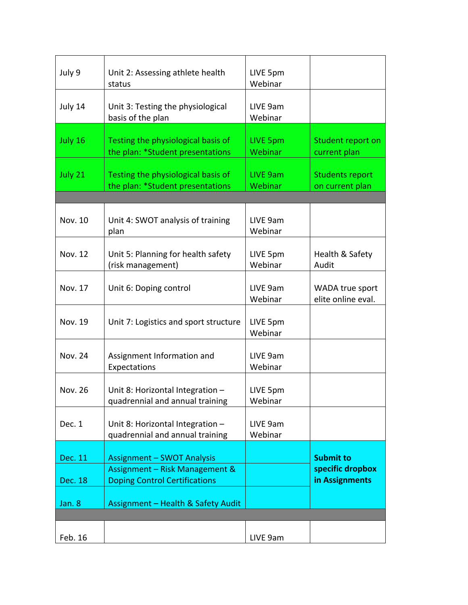| July 9         | Unit 2: Assessing athlete health<br>status                             | LIVE 5pm<br>Webinar        |                                           |
|----------------|------------------------------------------------------------------------|----------------------------|-------------------------------------------|
| July 14        | Unit 3: Testing the physiological<br>basis of the plan                 | LIVE 9am<br>Webinar        |                                           |
| July 16        | Testing the physiological basis of<br>the plan: *Student presentations | <b>LIVE 5pm</b><br>Webinar | Student report on<br>current plan         |
| July 21        | Testing the physiological basis of<br>the plan: *Student presentations | LIVE 9am<br>Webinar        | <b>Students report</b><br>on current plan |
|                |                                                                        |                            |                                           |
| Nov. 10        | Unit 4: SWOT analysis of training<br>plan                              | LIVE 9am<br>Webinar        |                                           |
| <b>Nov. 12</b> | Unit 5: Planning for health safety<br>(risk management)                | LIVE 5pm<br>Webinar        | Health & Safety<br>Audit                  |
| Nov. 17        | Unit 6: Doping control                                                 | LIVE 9am<br>Webinar        | WADA true sport<br>elite online eval.     |
| <b>Nov. 19</b> | Unit 7: Logistics and sport structure                                  | LIVE 5pm<br>Webinar        |                                           |
| <b>Nov. 24</b> | Assignment Information and<br>Expectations                             | LIVE 9am<br>Webinar        |                                           |
| <b>Nov. 26</b> | Unit 8: Horizontal Integration -<br>quadrennial and annual training    | LIVE 5pm<br>Webinar        |                                           |
| Dec. 1         | Unit 8: Horizontal Integration -<br>quadrennial and annual training    | LIVE 9am<br>Webinar        |                                           |
|                |                                                                        |                            |                                           |
| Dec. 11        | <b>Assignment - SWOT Analysis</b>                                      |                            | <b>Submit to</b>                          |
|                | Assignment - Risk Management &                                         |                            | specific dropbox                          |
| Dec. 18        | <b>Doping Control Certifications</b>                                   |                            | in Assignments                            |
| Jan. 8         | Assignment - Health & Safety Audit                                     |                            |                                           |
|                |                                                                        |                            |                                           |
| Feb. 16        |                                                                        | LIVE 9am                   |                                           |